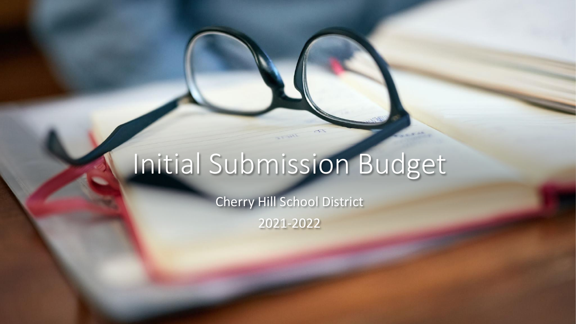# Initial Submission Budget

Cherry Hill School District

2021-2022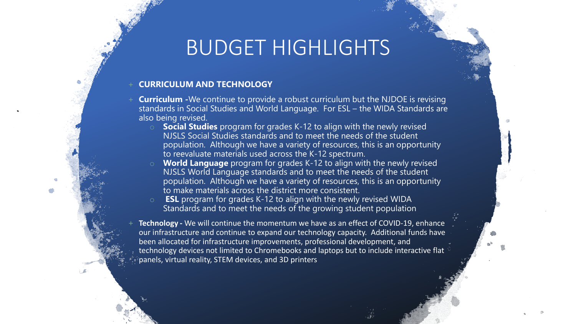### BUDGET HIGHLIGHTS

#### + **CURRICULUM AND TECHNOLOGY**

- **Curriculum** -We continue to provide a robust curriculum but the NJDOE is revising standards in Social Studies and World Language. For ESL – the WIDA Standards are also being revised.
	- o **Social Studies** program for grades K-12 to align with the newly revised NJSLS Social Studies standards and to meet the needs of the student population. Although we have a variety of resources, this is an opportunity to reevaluate materials used across the K-12 spectrum.
	- **World Language** program for grades K-12 to align with the newly revised NJSLS World Language standards and to meet the needs of the student population. Although we have a variety of resources, this is an opportunity to make materials across the district more consistent.
	- o **ESL** program for grades K-12 to align with the newly revised WIDA Standards and to meet the needs of the growing student population
- **Technology** We will continue the momentum we have as an effect of COVID-19, enhance our infrastructure and continue to expand our technology capacity. Additional funds have been allocated for infrastructure improvements, professional development, and technology devices not limited to Chromebooks and laptops but to include interactive flat panels, virtual reality, STEM devices, and 3D printers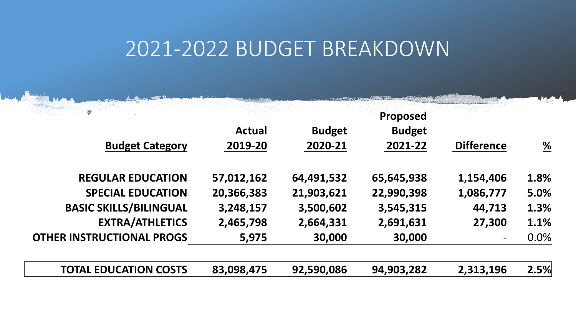|               |               | <b>Proposed</b> |                   |                       |
|---------------|---------------|-----------------|-------------------|-----------------------|
| <b>Actual</b> | <b>Budget</b> | <b>Budget</b>   |                   |                       |
| 2019-20       | 2020-21       | 2021-22         | <b>Difference</b> | $\frac{\%}{\sqrt{2}}$ |
| 57,012,162    | 64,491,532    | 65,645,938      | 1,154,406         | 1.8%                  |
| 20,366,383    | 21,903,621    | 22,990,398      | 1,086,777         | 5.0%                  |
| 3,248,157     | 3,500,602     | 3,545,315       | 44,713            | 1.3%                  |
| 2,465,798     | 2,664,331     | 2,691,631       | 27,300            | 1.1%                  |
| 5,975         | 30,000        | 30,000          |                   | 0.0%                  |
| 83,098,475    | 92,590,086    | 94,903,282      | 2,313,196         | 2.5%                  |
|               |               |                 |                   |                       |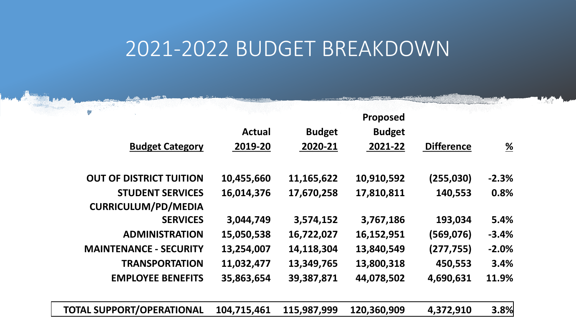| album inser                      |               |               | Proposed      |                   |                       |
|----------------------------------|---------------|---------------|---------------|-------------------|-----------------------|
|                                  | <b>Actual</b> | <b>Budget</b> | <b>Budget</b> |                   |                       |
| <b>Budget Category</b>           | 2019-20       | 2020-21       | 2021-22       | <b>Difference</b> | $\frac{\%}{\sqrt{2}}$ |
| <b>OUT OF DISTRICT TUITION</b>   | 10,455,660    | 11,165,622    | 10,910,592    | (255,030)         | $-2.3%$               |
| <b>STUDENT SERVICES</b>          | 16,014,376    | 17,670,258    | 17,810,811    | 140,553           | 0.8%                  |
| <b>CURRICULUM/PD/MEDIA</b>       |               |               |               |                   |                       |
| <b>SERVICES</b>                  | 3,044,749     | 3,574,152     | 3,767,186     | 193,034           | 5.4%                  |
| <b>ADMINISTRATION</b>            | 15,050,538    | 16,722,027    | 16,152,951    | (569, 076)        | $-3.4%$               |
| <b>MAINTENANCE - SECURITY</b>    | 13,254,007    | 14,118,304    | 13,840,549    | (277, 755)        | $-2.0%$               |
| <b>TRANSPORTATION</b>            | 11,032,477    | 13,349,765    | 13,800,318    | 450,553           | 3.4%                  |
| <b>EMPLOYEE BENEFITS</b>         | 35,863,654    | 39,387,871    | 44,078,502    | 4,690,631         | 11.9%                 |
| <b>TOTAL SUPPORT/OPERATIONAL</b> | 104,715,461   | 115,987,999   | 120,360,909   | 4,372,910         | 3.8%                  |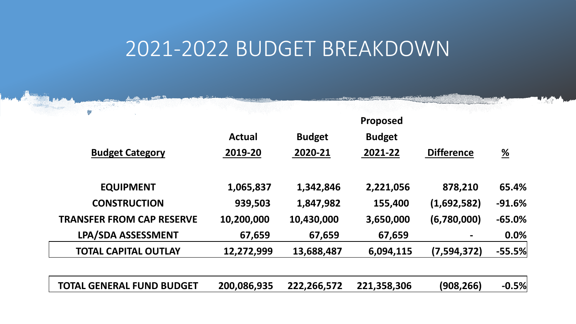| <b>COMPANY ANTIOTY</b>           |               |               |               |                   |                       |
|----------------------------------|---------------|---------------|---------------|-------------------|-----------------------|
|                                  |               |               | Proposed      |                   |                       |
|                                  | <b>Actual</b> | <b>Budget</b> | <b>Budget</b> |                   |                       |
| <b>Budget Category</b>           | 2019-20       | 2020-21       | 2021-22       | <b>Difference</b> | $\frac{\%}{\sqrt{2}}$ |
| <b>EQUIPMENT</b>                 | 1,065,837     | 1,342,846     | 2,221,056     | 878,210           | 65.4%                 |
| <b>CONSTRUCTION</b>              | 939,503       | 1,847,982     | 155,400       | (1,692,582)       | $-91.6%$              |
| <b>TRANSFER FROM CAP RESERVE</b> | 10,200,000    | 10,430,000    | 3,650,000     | (6,780,000)       | $-65.0%$              |
| <b>LPA/SDA ASSESSMENT</b>        | 67,659        | 67,659        | 67,659        |                   | 0.0%                  |
| <b>TOTAL CAPITAL OUTLAY</b>      | 12,272,999    | 13,688,487    | 6,094,115     | (7,594,372)       | $-55.5%$              |
| <b>TOTAL GENERAL FUND BUDGET</b> | 200,086,935   | 222,266,572   | 221,358,306   | (908,266)         | $-0.5%$               |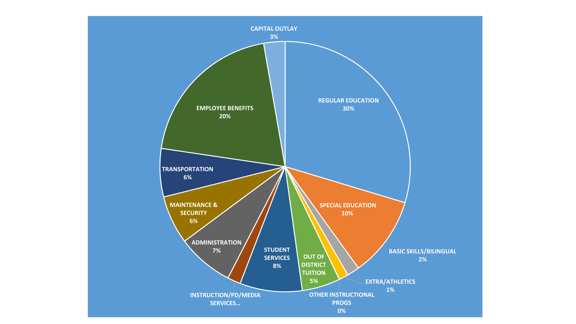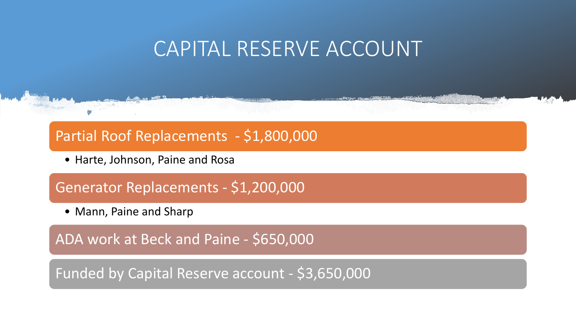### CAPITAL RESERVE ACCOUNT

#### Partial Roof Replacements - \$1,800,000

• Harte, Johnson, Paine and Rosa

#### Generator Replacements - \$1,200,000

• Mann, Paine and Sharp

ADA work at Beck and Paine - \$650,000

Funded by Capital Reserve account - \$3,650,000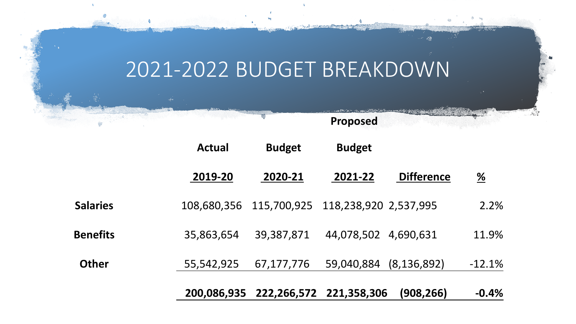**Proposed** 

|                 | <b>Actual</b> | <b>Budget</b>                       | <b>Budget</b>        |                   |                       |
|-----------------|---------------|-------------------------------------|----------------------|-------------------|-----------------------|
|                 | 2019-20       | 2020-21                             | 2021-22              | <b>Difference</b> | $\frac{\%}{\sqrt{2}}$ |
| <b>Salaries</b> | 108,680,356   | 115,700,925 118,238,920 2,537,995   |                      |                   | 2.2%                  |
| <b>Benefits</b> | 35,863,654    | 39,387,871                          | 44,078,502 4,690,631 |                   | 11.9%                 |
| <b>Other</b>    | 55,542,925    | 67,177,776                          | 59,040,884           | (8, 136, 892)     | $-12.1%$              |
|                 |               | 200,086,935 222,266,572 221,358,306 |                      | (908, 266)        | $-0.4%$               |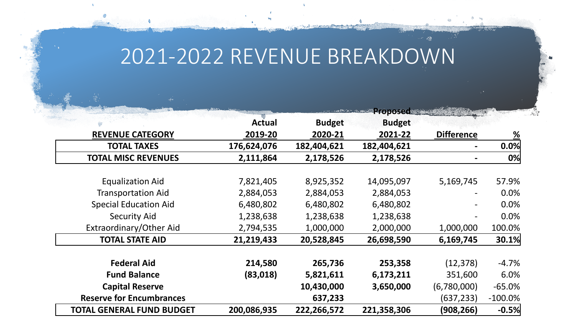# 2021-2022 REVENUE BREAKDOWN

|                                  |               |               | <b>Proposed State</b> |                   |                       |
|----------------------------------|---------------|---------------|-----------------------|-------------------|-----------------------|
|                                  | <b>Actual</b> | <b>Budget</b> | <b>Budget</b>         |                   |                       |
| <b>REVENUE CATEGORY</b>          | 2019-20       | 2020-21       | 2021-22               | <b>Difference</b> | $\frac{\%}{\sqrt{2}}$ |
| <b>TOTAL TAXES</b>               | 176,624,076   | 182,404,621   | 182,404,621           |                   | 0.0%                  |
| <b>TOTAL MISC REVENUES</b>       | 2,111,864     | 2,178,526     | 2,178,526             |                   | 0%                    |
|                                  |               |               |                       |                   |                       |
| <b>Equalization Aid</b>          | 7,821,405     | 8,925,352     | 14,095,097            | 5,169,745         | 57.9%                 |
| <b>Transportation Aid</b>        | 2,884,053     | 2,884,053     | 2,884,053             |                   | 0.0%                  |
| <b>Special Education Aid</b>     | 6,480,802     | 6,480,802     | 6,480,802             |                   | 0.0%                  |
| <b>Security Aid</b>              | 1,238,638     | 1,238,638     | 1,238,638             |                   | 0.0%                  |
| Extraordinary/Other Aid          | 2,794,535     | 1,000,000     | 2,000,000             | 1,000,000         | 100.0%                |
| <b>TOTAL STATE AID</b>           | 21,219,433    | 20,528,845    | 26,698,590            | 6,169,745         | 30.1%                 |
| <b>Federal Aid</b>               | 214,580       | 265,736       | 253,358               | (12, 378)         | $-4.7%$               |
| <b>Fund Balance</b>              | (83,018)      | 5,821,611     | 6,173,211             | 351,600           | 6.0%                  |
| <b>Capital Reserve</b>           |               | 10,430,000    | 3,650,000             | (6,780,000)       | $-65.0%$              |
| <b>Reserve for Encumbrances</b>  |               | 637,233       |                       | (637, 233)        | $-100.0\%$            |
| <b>TOTAL GENERAL FUND BUDGET</b> | 200,086,935   | 222,266,572   | 221,358,306           | (908, 266)        | $-0.5%$               |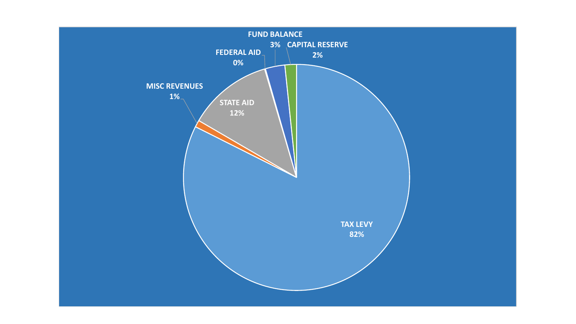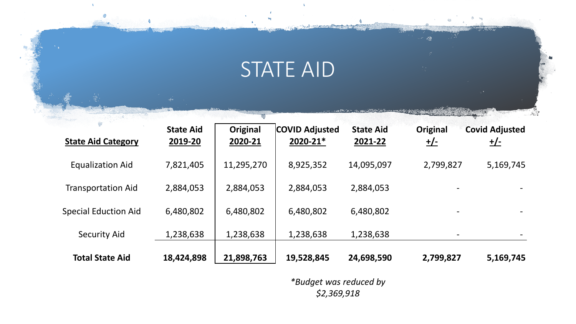# STATE AID

ر<br>ال<del>کترون و م</del>رور و مورد از مورد روک

G

ు :

| <b>State Aid Category</b>   | <b>State Aid</b><br>2019-20 | Original<br>2020-21 | <b>COVID Adjusted</b><br>2020-21* | <b>State Aid</b><br>2021-22 | Original<br><u>+/-</u>   | <b>Covid Adjusted</b><br><u>+/-</u> |
|-----------------------------|-----------------------------|---------------------|-----------------------------------|-----------------------------|--------------------------|-------------------------------------|
| <b>Equalization Aid</b>     | 7,821,405                   | 11,295,270          | 8,925,352                         | 14,095,097                  | 2,799,827                | 5,169,745                           |
| <b>Transportation Aid</b>   | 2,884,053                   | 2,884,053           | 2,884,053                         | 2,884,053                   | $\overline{\phantom{a}}$ |                                     |
| <b>Special Eduction Aid</b> | 6,480,802                   | 6,480,802           | 6,480,802                         | 6,480,802                   | $\overline{\phantom{a}}$ | -                                   |
| <b>Security Aid</b>         | 1,238,638                   | 1,238,638           | 1,238,638                         | 1,238,638                   | $\overline{\phantom{m}}$ |                                     |
| <b>Total State Aid</b>      | 18,424,898                  | 21,898,763          | 19,528,845                        | 24,698,590                  | 2,799,827                | 5,169,745                           |

*\*Budget was reduced by \$2,369,918*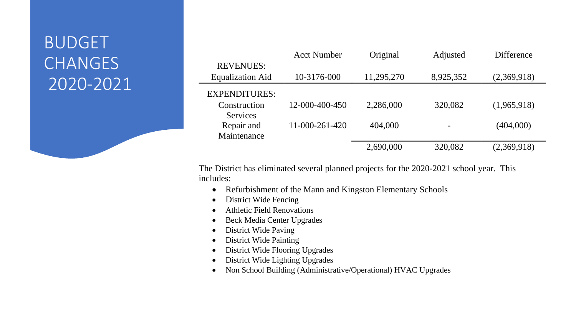#### BUDGET CHANGES 2020-2021

|                         | <b>Acct Number</b> | Original   | Adjusted  | <b>Difference</b> |
|-------------------------|--------------------|------------|-----------|-------------------|
| <b>REVENUES:</b>        |                    |            |           |                   |
| <b>Equalization Aid</b> | 10-3176-000        | 11,295,270 | 8,925,352 | (2,369,918)       |
| <b>EXPENDITURES:</b>    |                    |            |           |                   |
| Construction            | 12-000-400-450     | 2,286,000  | 320,082   | (1,965,918)       |
| <b>Services</b>         |                    |            |           |                   |
| Repair and              | 11-000-261-420     | 404,000    |           | (404,000)         |
| Maintenance             |                    |            |           |                   |
|                         |                    | 2,690,000  | 320,082   | (2,369,918)       |

The District has eliminated several planned projects for the 2020-2021 school year. This includes:

- $\bullet$ Refurbishment of the Mann and Kingston Elementary Schools
- •District Wide Fencing
- •Athletic Field Renovations
- •Beck Media Center Upgrades
- •District Wide Paving
- •District Wide Painting
- •District Wide Flooring Upgrades
- •District Wide Lighting Upgrades
- •Non School Building (Administrative/Operational) HVAC Upgrades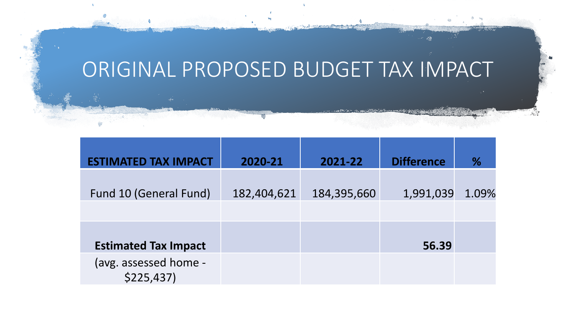# ORIGINAL PROPOSED BUDGET TAX IMPACT

| <b>ESTIMATED TAX IMPACT</b>        | 2020-21     | 2021-22     | <b>Difference</b> | $\%$  |
|------------------------------------|-------------|-------------|-------------------|-------|
| Fund 10 (General Fund)             | 182,404,621 | 184,395,660 | 1,991,039         | 1.09% |
| <b>Estimated Tax Impact</b>        |             |             | 56.39             |       |
| (avg. assessed home -<br>\$225,437 |             |             |                   |       |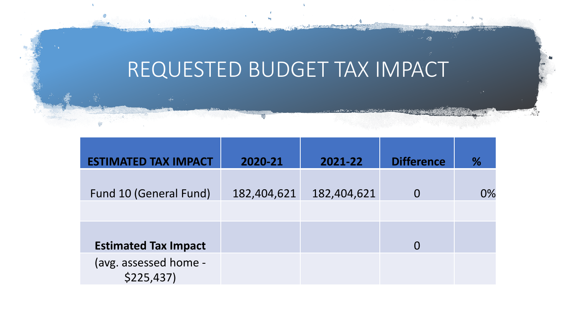# REQUESTED BUDGET TAX IMPACT

| <b>ESTIMATED TAX IMPACT</b>        | 2020-21     | 2021-22     | <b>Difference</b> | $\%$  |
|------------------------------------|-------------|-------------|-------------------|-------|
| <b>Fund 10 (General Fund)</b>      | 182,404,621 | 182,404,621 |                   | $0\%$ |
| <b>Estimated Tax Impact</b>        |             |             |                   |       |
| (avg. assessed home -<br>\$225,437 |             |             |                   |       |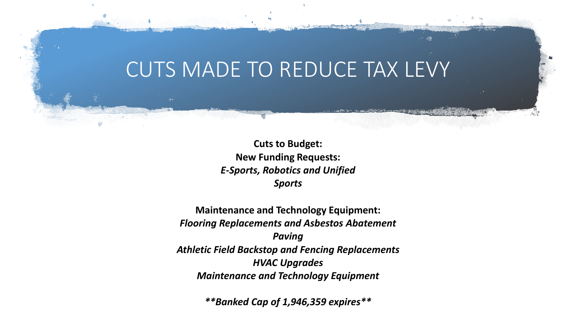### CUTS MADE TO REDUCE TAX LEVY

**Cuts to Budget: New Funding Requests:** *E-Sports, Robotics and Unified Sports* 

**Maintenance and Technology Equipment:** *Flooring Replacements and Asbestos Abatement Paving Athletic Field Backstop and Fencing Replacements HVAC Upgrades Maintenance and Technology Equipment*

*\*\*Banked Cap of 1,946,359 expires\*\**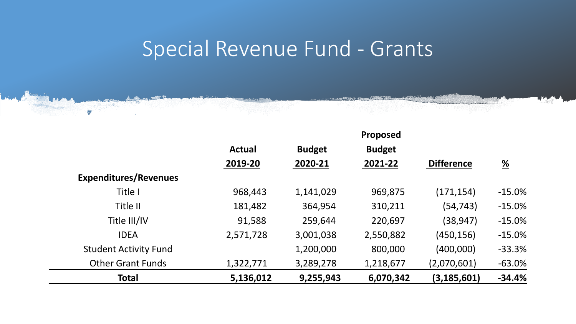# Special Revenue Fund - Grants

|                              |               |               | Proposed      |                   |                       |
|------------------------------|---------------|---------------|---------------|-------------------|-----------------------|
|                              | <b>Actual</b> | <b>Budget</b> | <b>Budget</b> |                   |                       |
|                              | 2019-20       | 2020-21       | 2021-22       | <b>Difference</b> | $\frac{\%}{\sqrt{2}}$ |
| <b>Expenditures/Revenues</b> |               |               |               |                   |                       |
| Title I                      | 968,443       | 1,141,029     | 969,875       | (171, 154)        | $-15.0%$              |
| Title II                     | 181,482       | 364,954       | 310,211       | (54, 743)         | $-15.0%$              |
| Title III/IV                 | 91,588        | 259,644       | 220,697       | (38, 947)         | $-15.0%$              |
| <b>IDEA</b>                  | 2,571,728     | 3,001,038     | 2,550,882     | (450, 156)        | $-15.0%$              |
| <b>Student Activity Fund</b> |               | 1,200,000     | 800,000       | (400,000)         | $-33.3%$              |
| <b>Other Grant Funds</b>     | 1,322,771     | 3,289,278     | 1,218,677     | (2,070,601)       | $-63.0%$              |
| <b>Total</b>                 | 5,136,012     | 9,255,943     | 6,070,342     | (3, 185, 601)     | $-34.4%$              |